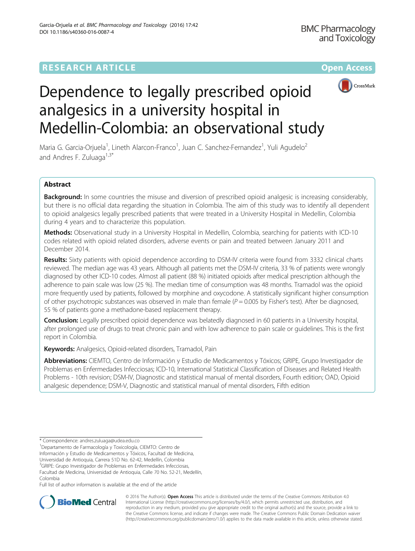# **RESEARCH ARTICLE Example 2018 12:00 Department of the CONNECTION CONNECTION CONNECTION CONNECTION**



# Dependence to legally prescribed opioid analgesics in a university hospital in Medellin-Colombia: an observational study

Maria G. Garcia-Orjuela<sup>1</sup>, Lineth Alarcon-Franco<sup>1</sup>, Juan C. Sanchez-Fernandez<sup>1</sup>, Yuli Agudelo<sup>2</sup> and Andres F. Zuluaga $1,3^*$ 

# Abstract

Background: In some countries the misuse and diversion of prescribed opioid analgesic is increasing considerably, but there is no official data regarding the situation in Colombia. The aim of this study was to identify all dependent to opioid analgesics legally prescribed patients that were treated in a University Hospital in Medellin, Colombia during 4 years and to characterize this population.

Methods: Observational study in a University Hospital in Medellin, Colombia, searching for patients with ICD-10 codes related with opioid related disorders, adverse events or pain and treated between January 2011 and December 2014.

Results: Sixty patients with opioid dependence according to DSM-IV criteria were found from 3332 clinical charts reviewed. The median age was 43 years. Although all patients met the DSM-IV criteria, 33 % of patients were wrongly diagnosed by other ICD-10 codes. Almost all patient (88 %) initiated opioids after medical prescription although the adherence to pain scale was low (25 %). The median time of consumption was 48 months. Tramadol was the opioid more frequently used by patients, followed by morphine and oxycodone. A statistically significant higher consumption of other psychotropic substances was observed in male than female ( $P = 0.005$  by Fisher's test). After be diagnosed, 55 % of patients gone a methadone-based replacement therapy.

**Conclusion:** Legally prescribed opioid dependence was belatedly diagnosed in 60 patients in a University hospital, after prolonged use of drugs to treat chronic pain and with low adherence to pain scale or guidelines. This is the first report in Colombia.

Keywords: Analgesics, Opioid-related disorders, Tramadol, Pain

Abbreviations: CIEMTO, Centro de Información y Estudio de Medicamentos y Tóxicos; GRIPE, Grupo Investigador de Problemas en Enfermedades Infecciosas; ICD-10, International Statistical Classification of Diseases and Related Health Problems - 10th revision; DSM-IV, Diagnostic and statistical manual of mental disorders, Fourth edition; OAD, Opioid analgesic dependence; DSM-V, Diagnostic and statistical manual of mental disorders, Fifth edition

Departamento de Farmacología y Toxicología, CIEMTO: Centro de

Información y Estudio de Medicamentos y Tóxicos, Facultad de Medicina,

Universidad de Antioquia, Carrera 51D No. 62-42, Medellín, Colombia

<sup>3</sup>GRIPE: Grupo Investigador de Problemas en Enfermedades Infecciosas,

Facultad de Medicina, Universidad de Antioquia, Calle 70 No. 52-21, Medellín, Colombia

Full list of author information is available at the end of the article



© 2016 The Author(s). Open Access This article is distributed under the terms of the Creative Commons Attribution 4.0 International License [\(http://creativecommons.org/licenses/by/4.0/](http://creativecommons.org/licenses/by/4.0/)), which permits unrestricted use, distribution, and reproduction in any medium, provided you give appropriate credit to the original author(s) and the source, provide a link to the Creative Commons license, and indicate if changes were made. The Creative Commons Public Domain Dedication waiver [\(http://creativecommons.org/publicdomain/zero/1.0/](http://creativecommons.org/publicdomain/zero/1.0/)) applies to the data made available in this article, unless otherwise stated.

<sup>\*</sup> Correspondence: [andres.zuluaga@udea.edu.co](mailto:andres.zuluaga@udea.edu.co) <sup>1</sup>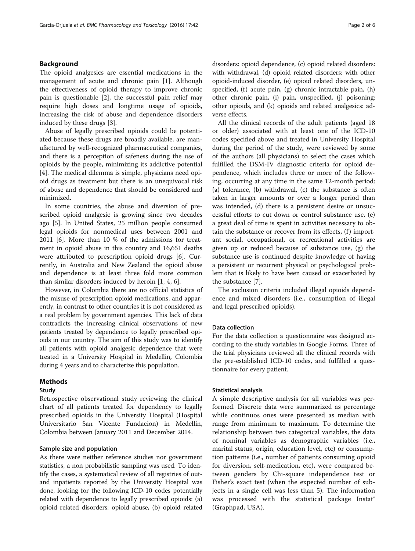# Background

The opioid analgesics are essential medications in the management of acute and chronic pain [[1\]](#page-5-0). Although the effectiveness of opioid therapy to improve chronic pain is questionable [[2\]](#page-5-0), the successful pain relief may require high doses and longtime usage of opioids, increasing the risk of abuse and dependence disorders induced by these drugs [\[3](#page-5-0)].

Abuse of legally prescribed opioids could be potentiated because these drugs are broadly available, are manufactured by well-recognized pharmaceutical companies, and there is a perception of safeness during the use of opioids by the people, minimizing its addictive potential [[4\]](#page-5-0). The medical dilemma is simple, physicians need opioid drugs as treatment but there is an unequivocal risk of abuse and dependence that should be considered and minimized.

In some countries, the abuse and diversion of prescribed opioid analgesic is growing since two decades ago [[5](#page-5-0)]. In United States, 25 million people consumed legal opioids for nonmedical uses between 2001 and 2011 [[6\]](#page-5-0). More than 10 % of the admissions for treatment in opioid abuse in this country and 16,651 deaths were attributed to prescription opioid drugs [\[6](#page-5-0)]. Currently, in Australia and New Zealand the opioid abuse and dependence is at least three fold more common than similar disorders induced by heroin [\[1](#page-5-0), [4](#page-5-0), [6](#page-5-0)].

However, in Colombia there are no official statistics of the misuse of prescription opioid medications, and apparently, in contrast to other countries it is not considered as a real problem by government agencies. This lack of data contradicts the increasing clinical observations of new patients treated by dependence to legally prescribed opioids in our country. The aim of this study was to identify all patients with opioid analgesic dependence that were treated in a University Hospital in Medellin, Colombia during 4 years and to characterize this population.

# Methods

## Study

Retrospective observational study reviewing the clinical chart of all patients treated for dependency to legally prescribed opioids in the University Hospital (Hospital Universitario San Vicente Fundacion) in Medellin, Colombia between January 2011 and December 2014.

# Sample size and population

As there were neither reference studies nor government statistics, a non probabilistic sampling was used. To identify the cases, a systematical review of all registries of outand inpatients reported by the University Hospital was done, looking for the following ICD-10 codes potentially related with dependence to legally prescribed opioids: (a) opioid related disorders: opioid abuse, (b) opioid related disorders: opioid dependence, (c) opioid related disorders: with withdrawal, (d) opioid related disorders: with other opioid-induced disorder, (e) opioid related disorders, unspecified,  $(f)$  acute pain,  $(g)$  chronic intractable pain,  $(h)$ other chronic pain, (i) pain, unspecified, (j) poisoning: other opioids, and (k) opioids and related analgesics: adverse effects.

All the clinical records of the adult patients (aged 18 or older) associated with at least one of the ICD-10 codes specified above and treated in University Hospital during the period of the study, were reviewed by some of the authors (all physicians) to select the cases which fulfilled the DSM-IV diagnostic criteria for opioid dependence, which includes three or more of the following, occurring at any time in the same 12-month period: (a) tolerance, (b) withdrawal, (c) the substance is often taken in larger amounts or over a longer period than was intended, (d) there is a persistent desire or unsuccessful efforts to cut down or control substance use, (e) a great deal of time is spent in activities necessary to obtain the substance or recover from its effects, (f) important social, occupational, or recreational activities are given up or reduced because of substance use, (g) the substance use is continued despite knowledge of having a persistent or recurrent physical or psychological problem that is likely to have been caused or exacerbated by the substance [\[7](#page-5-0)].

The exclusion criteria included illegal opioids dependence and mixed disorders (i.e., consumption of illegal and legal prescribed opioids).

# Data collection

For the data collection a questionnaire was designed according to the study variables in Google Forms. Three of the trial physicians reviewed all the clinical records with the pre-established ICD-10 codes, and fulfilled a questionnaire for every patient.

# Statistical analysis

A simple descriptive analysis for all variables was performed. Discrete data were summarized as percentage while continuos ones were presented as median with range from minimum to maximum. To determine the relationship between two categorical variables, the data of nominal variables as demographic variables (i.e., marital status, origin, education level, etc) or consumption patterns (i.e., number of patients consuming opioid for diversion, self-medication, etc), were compared between genders by Chi-square independence test or Fisher's exact test (when the expected number of subjects in a single cell was less than 5). The information was processed with the statistical package Instat® (Graphpad, USA).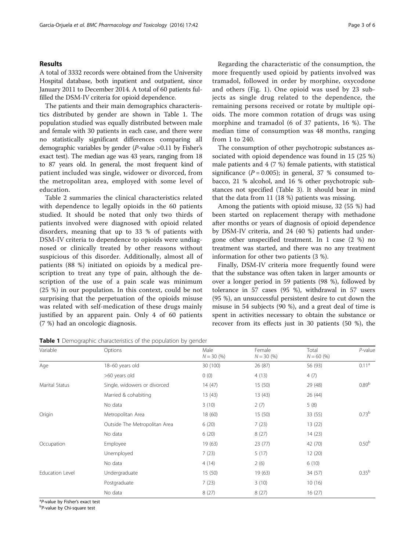# Results

A total of 3332 records were obtained from the University Hospital database, both inpatient and outpatient, since January 2011 to December 2014. A total of 60 patients fulfilled the DSM-IV criteria for opioid dependence.

The patients and their main demographics characteristics distributed by gender are shown in Table 1. The population studied was equally distributed between male and female with 30 patients in each case, and there were no statistically significant differences comparing all demographic variables by gender (P-value >0.11 by Fisher's exact test). The median age was 43 years, ranging from 18 to 87 years old. In general, the most frequent kind of patient included was single, widower or divorced, from the metropolitan area, employed with some level of education.

Table [2](#page-3-0) summaries the clinical characteristics related with dependence to legally opioids in the 60 patients studied. It should be noted that only two thirds of patients involved were diagnosed with opioid related disorders, meaning that up to 33 % of patients with DSM-IV criteria to dependence to opioids were undiagnosed or clinically treated by other reasons without suspicious of this disorder. Additionally, almost all of patients (88 %) initiated on opioids by a medical prescription to treat any type of pain, although the description of the use of a pain scale was minimum (25 %) in our population. In this context, could be not surprising that the perpetuation of the opioids misuse was related with self-medication of these drugs mainly justified by an apparent pain. Only 4 of 60 patients (7 %) had an oncologic diagnosis.

Regarding the characteristic of the consumption, the more frequently used opioid by patients involved was tramadol, followed in order by morphine, oxycodone and others (Fig. [1\)](#page-3-0). One opioid was used by 23 subjects as single drug related to the dependence, the remaining persons received or rotate by multiple opioids. The more common rotation of drugs was using morphine and tramadol (6 of 37 patients, 16 %). The median time of consumption was 48 months, ranging from 1 to 240.

The consumption of other psychotropic substances associated with opioid dependence was found in 15 (25 %) male patients and 4 (7 %) female patients, with statistical significance ( $P = 0.005$ ); in general, 37 % consumed tobacco, 21 % alcohol, and 16 % other psychotropic substances not specified (Table [3\)](#page-4-0). It should bear in mind that the data from 11 (18 %) patients was missing.

Among the patients with opioid misuse, 32 (55 %) had been started on replacement therapy with methadone after months or years of diagnosis of opioid dependence by DSM-IV criteria, and 24 (40 %) patients had undergone other unspecified treatment. In 1 case (2 %) no treatment was started, and there was no any treatment information for other two patients (3 %).

Finally, DSM-IV criteria more frequently found were that the substance was often taken in larger amounts or over a longer period in 59 patients (98 %), followed by tolerance in 57 cases (95 %), withdrawal in 57 users (95 %), an unsuccessful persistent desire to cut down the misuse in 54 subjects (90 %), and a great deal of time is spent in activities necessary to obtain the substance or recover from its effects just in 30 patients (50 %), the

| Table 1 Demographic characteristics of the population by gender |  |  |
|-----------------------------------------------------------------|--|--|
|-----------------------------------------------------------------|--|--|

| Variable              | Options                       | Male<br>$N = 30(%)$ | Female<br>$N = 30(%)$ | Total<br>$N = 60$ (%) | $P$ -value        |
|-----------------------|-------------------------------|---------------------|-----------------------|-----------------------|-------------------|
| Age                   | 18-60 years old               | 30 (100)            | 26 (87)               | 56 (93)               | $0.11^a$          |
|                       | >60 years old                 | 0(0)                | 4(13)                 | 4(7)                  |                   |
| <b>Marital Status</b> | Single, widowers or divorced  | 14(47)              | 15(50)                | 29 (48)               | 0.89 <sup>b</sup> |
|                       | Married & cohabiting          | 13(43)              | 13(43)                | 26 (44)               |                   |
|                       | No data                       | 3(10)               | 2(7)                  | 5(8)                  |                   |
| Origin                | Metropolitan Area             | 18 (60)             | 15 (50)               | 33 (55)               | 0.73 <sup>b</sup> |
|                       | Outside The Metropolitan Area | 6(20)               | 7(23)                 | 13(22)                |                   |
|                       | No data                       | 6(20)               | 8(27)                 | 14(23)                |                   |
| Occupation            | Employee                      | 19(63)              | 23(77)                | 42 (70)               | 0.50 <sup>b</sup> |
|                       | Unemployed                    | 7(23)               | 5(17)                 | 12(20)                |                   |
|                       | No data                       | 4(14)               | 2(6)                  | 6(10)                 |                   |
| Education Level       | Undergraduate                 | 15(50)              | 19(63)                | 34 (57)               | 0.35 <sup>b</sup> |
|                       | Postgraduate                  | 7(23)               | 3(10)                 | 10(16)                |                   |
|                       | No data                       | 8(27)               | 8(27)                 | 16(27)                |                   |

<sup>a</sup>P-value by Fisher's exact test<br><sup>b</sup>P-value by Chi-square test

<sup>b</sup>P-value by Chi-square test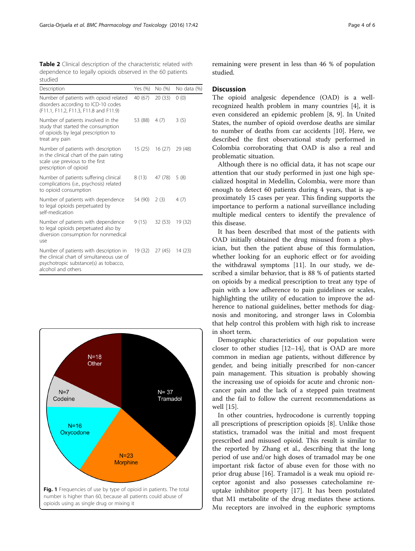<span id="page-3-0"></span>Table 2 Clinical description of the characteristic related with dependence to legally opioids observed in the 60 patients studied

| Description                                                                                                                                        | Yes (%) | No (%)  | No data (%) |
|----------------------------------------------------------------------------------------------------------------------------------------------------|---------|---------|-------------|
| Number of patients with opioid related<br>disorders according to ICD-10 codes<br>(F11.1, F11.2, F11.3, F11.8 and F11.9)                            | 40 (67) | 20(33)  | 0(0)        |
| Number of patients involved in the<br>study that started the consumption<br>of opioids by legal prescription to<br>treat any pain                  | 53 (88) | 4(7)    | 3(5)        |
| Number of patients with description<br>in the clinical chart of the pain rating<br>scale use previous to the first<br>prescription of opioid       | 15 (25) | 16(27)  | 29 (48)     |
| Number of patients suffering clinical<br>complications (i.e., psychosis) related<br>to opioid consumption                                          | 8 (13)  | 47 (78) | 5(8)        |
| Number of patients with dependence<br>to legal opioids perpetuated by<br>self-medication                                                           | 54 (90) | 2(3)    | 4(7)        |
| Number of patients with dependence<br>to legal opioids perpetuated also by<br>diversion consumption for nonmedical<br>use                          | 9 (15)  | 32(53)  | 19 (32)     |
| Number of patients with description in<br>the clinical chart of simultaneous use of<br>psychotropic substance(s) as tobacco,<br>alcohol and others | 19 (32) | 27(45)  | 14(23)      |



remaining were present in less than 46 % of population studied.

# **Discussion**

The opioid analgesic dependence (OAD) is a wellrecognized health problem in many countries [\[4](#page-5-0)], it is even considered an epidemic problem [\[8](#page-5-0), [9](#page-5-0)]. In United States, the number of opioid overdose deaths are similar to number of deaths from car accidents [[10\]](#page-5-0). Here, we described the first observational study performed in Colombia corroborating that OAD is also a real and problematic situation.

Although there is no official data, it has not scape our attention that our study performed in just one high specialized hospital in Medellin, Colombia, were more than enough to detect 60 patients during 4 years, that is approximately 15 cases per year. This finding supports the importance to perform a national surveillance including multiple medical centers to identify the prevalence of this disease.

It has been described that most of the patients with OAD initially obtained the drug misused from a physician, but then the patient abuse of this formulation, whether looking for an euphoric effect or for avoiding the withdrawal symptoms [\[11](#page-5-0)]. In our study, we described a similar behavior, that is 88 % of patients started on opioids by a medical prescription to treat any type of pain with a low adherence to pain guidelines or scales, highlighting the utility of education to improve the adherence to national guidelines, better methods for diagnosis and monitoring, and stronger laws in Colombia that help control this problem with high risk to increase in short term.

Demographic characteristics of our population were closer to other studies [[12](#page-5-0)–[14](#page-5-0)], that is OAD are more common in median age patients, without difference by gender, and being initially prescribed for non-cancer pain management. This situation is probably showing the increasing use of opioids for acute and chronic noncancer pain and the lack of a stepped pain treatment and the fail to follow the current recommendations as well [\[15](#page-5-0)].

In other countries, hydrocodone is currently topping all prescriptions of prescription opioids [\[8](#page-5-0)]. Unlike those statistics, tramadol was the initial and most frequent prescribed and misused opioid. This result is similar to the reported by Zhang et al., describing that the long period of use and/or high doses of tramadol may be one important risk factor of abuse even for those with no prior drug abuse [\[16](#page-5-0)]. Tramadol is a weak mu opioid receptor agonist and also possesses catecholamine reuptake inhibitor property [\[17\]](#page-5-0). It has been postulated that M1 metabolite of the drug mediates these actions. Mu receptors are involved in the euphoric symptoms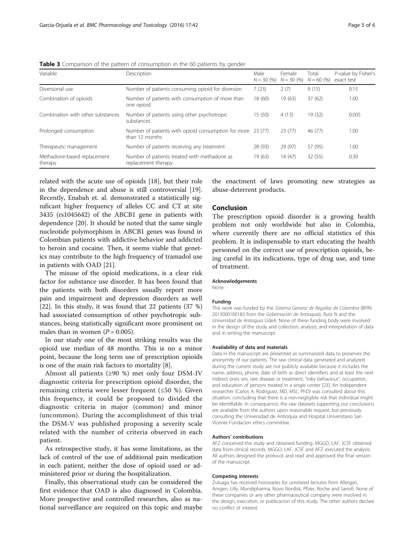| Variable                               | Description                                                                   | Male<br>$N = 30(%)$ | Female<br>$N = 30(96)$ | Total<br>$N = 60(%)$ | P-value by Fisher's<br>exact test |
|----------------------------------------|-------------------------------------------------------------------------------|---------------------|------------------------|----------------------|-----------------------------------|
| Diversional use                        | Number of patients consuming opioid for diversion                             | 7(23)               | 2(7)                   | 9(15)                | 0.15                              |
| Combination of opioids                 | Number of patients with consumption of more than<br>one opioid                | 18 (60)             | 19(63)                 | 37(62)               | 1.00                              |
| Combination with other substances      | Number of patients using other psychotropic<br>substances                     | 15(50)              | 4(13)                  | 19 (32)              | 0.005                             |
| Prolonged consumption                  | Number of patients with opioid consumption for more 23 (77)<br>than 12 months |                     | 23(77)                 | 46 (77)              | 1.00                              |
| Therapeutic management                 | Number of patients receiving any treatment                                    | 28 (93)             | 29 (97)                | 57 (95)              | 1.00                              |
| Methadone-based replacement<br>therapy | Number of patients treated with methadone as<br>replacement therapy           | 19(63)              | 14(47)                 | 32(55)               | 0.30                              |

<span id="page-4-0"></span>Table 3 Comparison of the pattern of consumption in the 60 patients by gender

related with the acute use of opioids [\[18](#page-5-0)], but their role in the dependence and abuse is still controversial [\[19](#page-5-0)]. Recently, Enabah et. al. demonstrated a statistically significant higher frequency of alleles CC and CT at site 3435 (rs1045642) of the ABCB1 gene in patients with dependence [\[20](#page-5-0)]. It should be noted that the same single nucleotide polymorphism in ABCB1 genes was found in Colombian patients with addictive behavior and addicted to heroin and cocaine. Then, it seems viable that genetics may contribute to the high frequency of tramadol use in patients with OAD [\[21](#page-5-0)].

The misuse of the opioid medications, is a clear risk factor for substance use disorder. It has been found that the patients with both disorders usually report more pain and impairment and depression disorders as well [[22\]](#page-5-0). In this study, it was found that 22 patients (37 %) had associated consumption of other psychotropic substances, being statistically significant more prominent on males than in women  $(P = 0.005)$ .

In our study one of the most striking results was the opioid use median of 48 months. This is no a minor point, because the long term use of prescription opioids is one of the main risk factors to mortality [[8\]](#page-5-0).

Almost all patients (≥90 %) met only four DSM-IV diagnostic criteria for prescription opioid disorder, the remaining criteria were lesser frequent (≤50 %). Given this frequency, it could be proposed to divided the diagnostic criteria in major (common) and minor (uncommon). During the accomplishment of this trial the DSM-V was published proposing a severity scale related with the number of criteria observed in each patient.

As retrospective study, it has some limitations, as the lack of control of the use of additional pain medication in each patient, neither the dose of opioid used or administered prior or during the hospitalization.

Finally, this observational study can be considered the first evidence that OAD is also diagnosed in Colombia. More prospective and controlled researches, also as national surveillance are required on this topic and maybe

the enactment of laws promoting new strategies as abuse-deterrent products.

# Conclusion

The prescription opioid disorder is a growing health problem not only worldwide but also in Colombia, where currently there are no official statistics of this problem. It is indispensable to start educating the health personnel on the correct use of prescription opioids, being careful in its indications, type of drug use, and time of treatment.

#### Acknowledgements

None.

#### Funding

This work was funded by the Sistema General de Regalías de Colombia (BPIN 2013000100183 from the Gobernación de Antioquia), Ruta N and the Universidad de Antioquia UdeA. None of these funding body were involved in the design of the study and collection, analysis, and interpretation of data and in writing the manuscript.

# Availability of data and materials

Data in the manuscript are presented as summarized data to preserves the anonymity of our patients. The raw clinical data generated and analyzed during the current study are not publicly available because it includes the name, address, phone, date of birth as direct identifiers and at least the next indirect ones sex, rare disease or treatment, "risky behaviour", occupation, and education of persons treated in a single center [\[23\]](#page-5-0). An independent researcher (Carlos A. Rodriguez, MD, MSc, PhD) was consulted about this situation, concluding that there is a non-negligible risk that individual might be identifiable. In consequence, the raw datasets supporting our conclusions are available from the authors upon reasonable request, but previously consulting the Universidad de Antioquia and Hospital Universitario San Vicente Fundacion ethics committee.

#### Authors' contributions

AFZ conceived the study and obtained funding. MGGO, LAF, JCSF obtained data from clinical records. MGGO, LAF, JCSF and AFZ executed the analysis. All authors designed the protocol, and read and approved the final version of the manuscript.

#### Competing interests

Zuluaga has received honoraries for unrelated lectures from Allergan, Amgen, Lilly, Mundipharma, Novo Nordisk, Pfizer, Roche and Sanofi. None of these companies or any other pharmaceutical company were involved in the design, execution, or publicacion of this study. The other authors declare no conflict of interest.